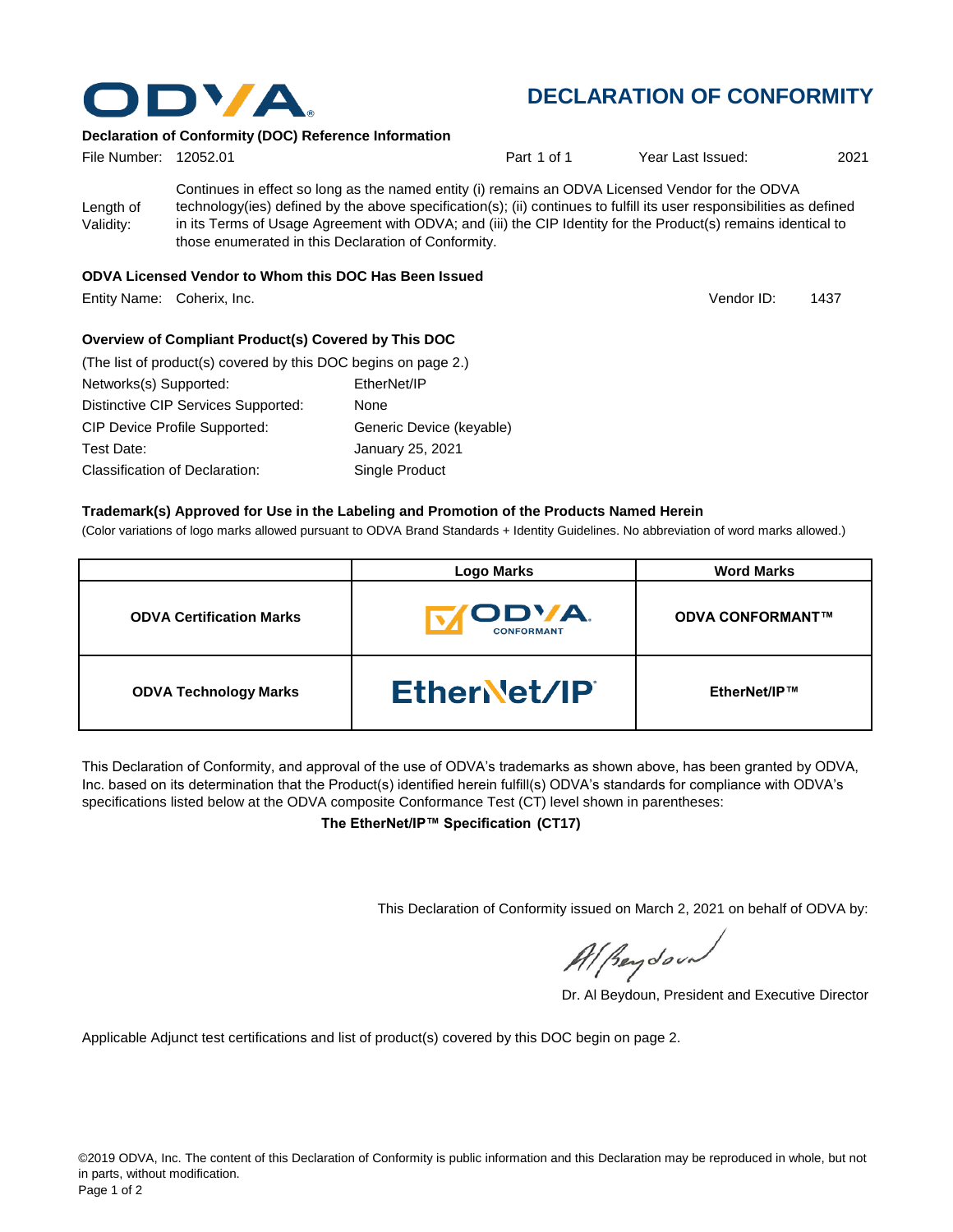

## **DECLARATION OF CONFORMITY**

Vendor ID:

#### **Declaration of Conformity (DOC) Reference Information**

| File Number: 12052.01  |                                                                                                                                                                      | Part 1 of 1                                                                                                                                                                                                               | Year Last Issued: | 2021 |
|------------------------|----------------------------------------------------------------------------------------------------------------------------------------------------------------------|---------------------------------------------------------------------------------------------------------------------------------------------------------------------------------------------------------------------------|-------------------|------|
| Length of<br>Validity: | in its Terms of Usage Agreement with ODVA; and (iii) the CIP Identity for the Product(s) remains identical to<br>those enumerated in this Declaration of Conformity. | Continues in effect so long as the named entity (i) remains an ODVA Licensed Vendor for the ODVA<br>technology(ies) defined by the above specification(s); (ii) continues to fulfill its user responsibilities as defined |                   |      |

#### **ODVA Licensed Vendor to Whom this DOC Has Been Issued**

Entity Name: Coherix, Inc. 1437

**Overview of Compliant Product(s) Covered by This DOC** 

| (The list of product(s) covered by this DOC begins on page 2.) |                          |
|----------------------------------------------------------------|--------------------------|
| Networks(s) Supported:                                         | EtherNet/IP              |
| Distinctive CIP Services Supported:                            | None                     |
| <b>CIP Device Profile Supported:</b>                           | Generic Device (keyable) |
| Test Date:                                                     | January 25, 2021         |
| Classification of Declaration:                                 | Single Product           |

#### **Trademark(s) Approved for Use in the Labeling and Promotion of the Products Named Herein**

(Color variations of logo marks allowed pursuant to ODVA Brand Standards + Identity Guidelines. No abbreviation of word marks allowed.)

|                                 | <b>Logo Marks</b>                         | <b>Word Marks</b>       |
|---------------------------------|-------------------------------------------|-------------------------|
| <b>ODVA Certification Marks</b> | <b><i>IODVA.</i></b><br><b>CONFORMANT</b> | <b>ODVA CONFORMANT™</b> |
| <b>ODVA Technology Marks</b>    | EtherNet/IP                               | EtherNet/IP™            |

This Declaration of Conformity, and approval of the use of ODVA's trademarks as shown above, has been granted by ODVA, Inc. based on its determination that the Product(s) identified herein fulfill(s) ODVA's standards for compliance with ODVA's specifications listed below at the ODVA composite Conformance Test (CT) level shown in parentheses:

**The EtherNet/IP™ Specification (CT17)**

This Declaration of Conformity issued on March 2, 2021 on behalf of ODVA by:

Al peydound

Dr. Al Beydoun, President and Executive Director

Applicable Adjunct test certifications and list of product(s) covered by this DOC begin on page 2.